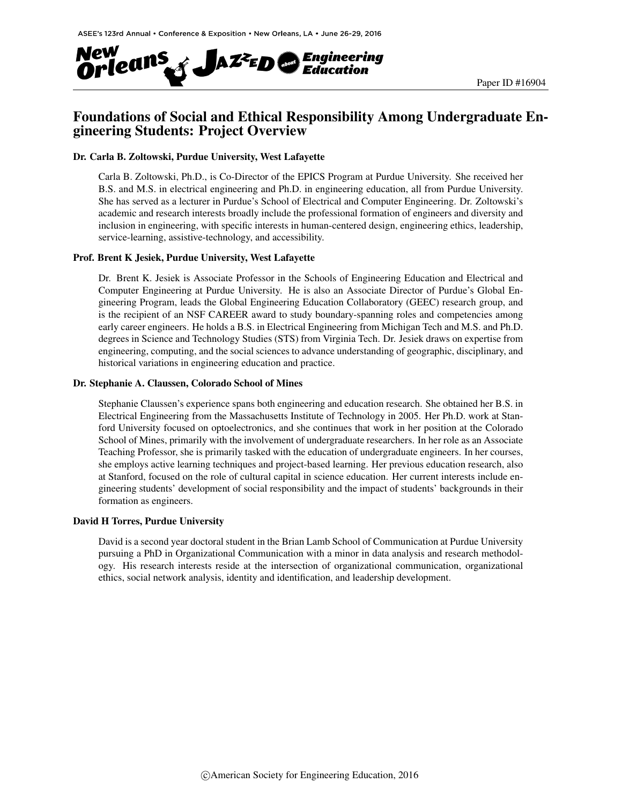

## Foundations of Social and Ethical Responsibility Among Undergraduate Engineering Students: Project Overview

#### Dr. Carla B. Zoltowski, Purdue University, West Lafayette

Carla B. Zoltowski, Ph.D., is Co-Director of the EPICS Program at Purdue University. She received her B.S. and M.S. in electrical engineering and Ph.D. in engineering education, all from Purdue University. She has served as a lecturer in Purdue's School of Electrical and Computer Engineering. Dr. Zoltowski's academic and research interests broadly include the professional formation of engineers and diversity and inclusion in engineering, with specific interests in human-centered design, engineering ethics, leadership, service-learning, assistive-technology, and accessibility.

#### Prof. Brent K Jesiek, Purdue University, West Lafayette

Dr. Brent K. Jesiek is Associate Professor in the Schools of Engineering Education and Electrical and Computer Engineering at Purdue University. He is also an Associate Director of Purdue's Global Engineering Program, leads the Global Engineering Education Collaboratory (GEEC) research group, and is the recipient of an NSF CAREER award to study boundary-spanning roles and competencies among early career engineers. He holds a B.S. in Electrical Engineering from Michigan Tech and M.S. and Ph.D. degrees in Science and Technology Studies (STS) from Virginia Tech. Dr. Jesiek draws on expertise from engineering, computing, and the social sciences to advance understanding of geographic, disciplinary, and historical variations in engineering education and practice.

#### Dr. Stephanie A. Claussen, Colorado School of Mines

Stephanie Claussen's experience spans both engineering and education research. She obtained her B.S. in Electrical Engineering from the Massachusetts Institute of Technology in 2005. Her Ph.D. work at Stanford University focused on optoelectronics, and she continues that work in her position at the Colorado School of Mines, primarily with the involvement of undergraduate researchers. In her role as an Associate Teaching Professor, she is primarily tasked with the education of undergraduate engineers. In her courses, she employs active learning techniques and project-based learning. Her previous education research, also at Stanford, focused on the role of cultural capital in science education. Her current interests include engineering students' development of social responsibility and the impact of students' backgrounds in their formation as engineers.

#### David H Torres, Purdue University

David is a second year doctoral student in the Brian Lamb School of Communication at Purdue University pursuing a PhD in Organizational Communication with a minor in data analysis and research methodology. His research interests reside at the intersection of organizational communication, organizational ethics, social network analysis, identity and identification, and leadership development.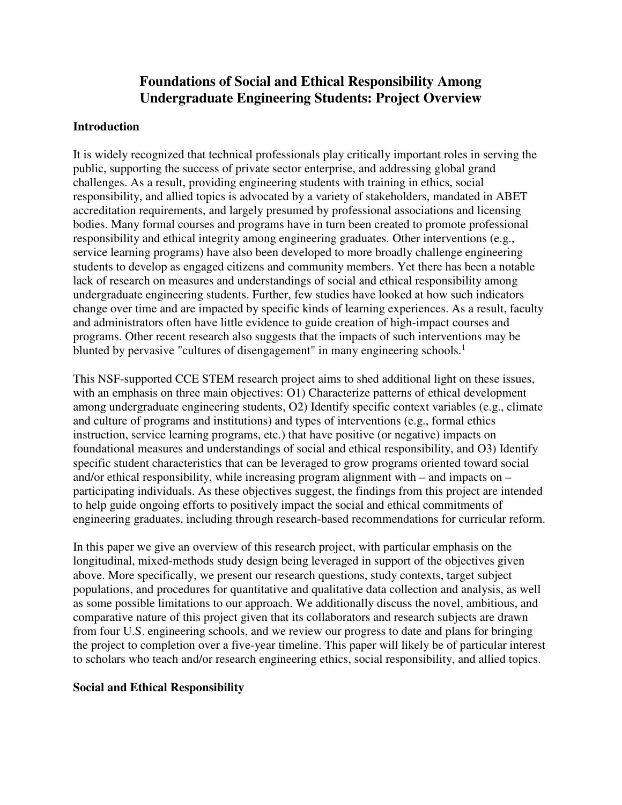# **Foundations of Social and Ethical Responsibility Among Undergraduate Engineering Students: Project Overview**

#### **Introduction**

It is widely recognized that technical professionals play critically important roles in serving the public, supporting the success of private sector enterprise, and addressing global grand challenges. As a result, providing engineering students with training in ethics, social responsibility, and allied topics is advocated by a variety of stakeholders, mandated in ABET accreditation requirements, and largely presumed by professional associations and licensing bodies. Many formal courses and programs have in turn been created to promote professional responsibility and ethical integrity among engineering graduates. Other interventions (e.g., service learning programs) have also been developed to more broadly challenge engineering students to develop as engaged citizens and community members. Yet there has been a notable lack of research on measures and understandings of social and ethical responsibility among undergraduate engineering students. Further, few studies have looked at how such indicators change over time and are impacted by specific kinds of learning experiences. As a result, faculty and administrators often have little evidence to guide creation of high-impact courses and programs. Other recent research also suggests that the impacts of such interventions may be blunted by pervasive "cultures of disengagement" in many engineering schools.<sup>1</sup>

This NSF-supported CCE STEM research project aims to shed additional light on these issues, with an emphasis on three main objectives: O1) Characterize patterns of ethical development among undergraduate engineering students, O2) Identify specific context variables (e.g., climate and culture of programs and institutions) and types of interventions (e.g., formal ethics instruction, service learning programs, etc.) that have positive (or negative) impacts on foundational measures and understandings of social and ethical responsibility, and O3) Identify specific student characteristics that can be leveraged to grow programs oriented toward social and/or ethical responsibility, while increasing program alignment with – and impacts on – participating individuals. As these objectives suggest, the findings from this project are intended to help guide ongoing efforts to positively impact the social and ethical commitments of engineering graduates, including through research-based recommendations for curricular reform.

In this paper we give an overview of this research project, with particular emphasis on the longitudinal, mixed-methods study design being leveraged in support of the objectives given above. More specifically, we present our research questions, study contexts, target subject populations, and procedures for quantitative and qualitative data collection and analysis, as well as some possible limitations to our approach. We additionally discuss the novel, ambitious, and comparative nature of this project given that its collaborators and research subjects are drawn from four U.S. engineering schools, and we review our progress to date and plans for bringing the project to completion over a five-year timeline. This paper will likely be of particular interest to scholars who teach and/or research engineering ethics, social responsibility, and allied topics.

#### **Social and Ethical Responsibility**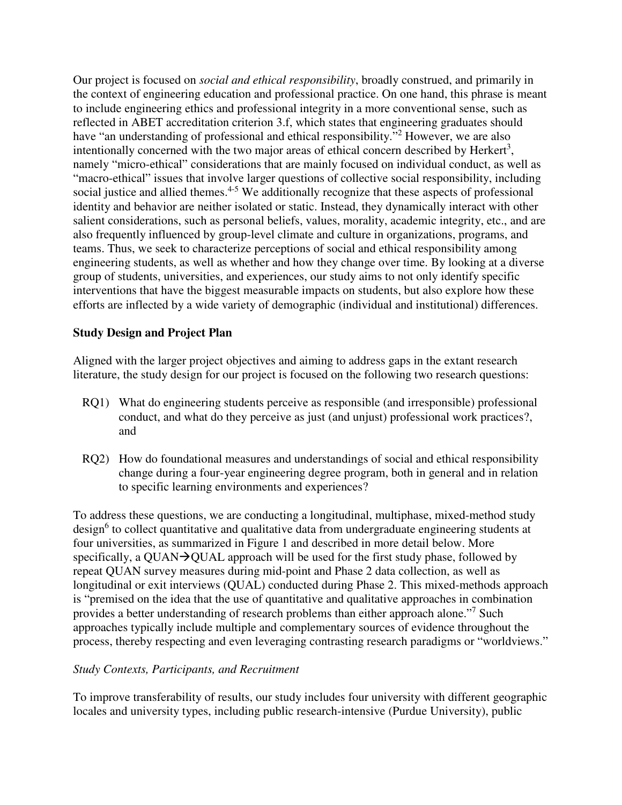Our project is focused on *social and ethical responsibility*, broadly construed, and primarily in the context of engineering education and professional practice. On one hand, this phrase is meant to include engineering ethics and professional integrity in a more conventional sense, such as reflected in ABET accreditation criterion 3.f, which states that engineering graduates should have "an understanding of professional and ethical responsibility."<sup>2</sup> However, we are also intentionally concerned with the two major areas of ethical concern described by Herkert<sup>3</sup>, namely "micro-ethical" considerations that are mainly focused on individual conduct, as well as "macro-ethical" issues that involve larger questions of collective social responsibility, including social justice and allied themes.<sup>4-5</sup> We additionally recognize that these aspects of professional identity and behavior are neither isolated or static. Instead, they dynamically interact with other salient considerations, such as personal beliefs, values, morality, academic integrity, etc., and are also frequently influenced by group-level climate and culture in organizations, programs, and teams. Thus, we seek to characterize perceptions of social and ethical responsibility among engineering students, as well as whether and how they change over time. By looking at a diverse group of students, universities, and experiences, our study aims to not only identify specific interventions that have the biggest measurable impacts on students, but also explore how these efforts are inflected by a wide variety of demographic (individual and institutional) differences.

## **Study Design and Project Plan**

Aligned with the larger project objectives and aiming to address gaps in the extant research literature, the study design for our project is focused on the following two research questions:

- RQ1) What do engineering students perceive as responsible (and irresponsible) professional conduct, and what do they perceive as just (and unjust) professional work practices?, and
- RQ2) How do foundational measures and understandings of social and ethical responsibility change during a four-year engineering degree program, both in general and in relation to specific learning environments and experiences?

To address these questions, we are conducting a longitudinal, multiphase, mixed-method study design<sup>6</sup> to collect quantitative and qualitative data from undergraduate engineering students at four universities, as summarized in Figure 1 and described in more detail below. More specifically, a QUAN $\rightarrow$ QUAL approach will be used for the first study phase, followed by repeat QUAN survey measures during mid-point and Phase 2 data collection, as well as longitudinal or exit interviews (QUAL) conducted during Phase 2. This mixed-methods approach is "premised on the idea that the use of quantitative and qualitative approaches in combination provides a better understanding of research problems than either approach alone."<sup>7</sup> Such approaches typically include multiple and complementary sources of evidence throughout the process, thereby respecting and even leveraging contrasting research paradigms or "worldviews."

## *Study Contexts, Participants, and Recruitment*

To improve transferability of results, our study includes four university with different geographic locales and university types, including public research-intensive (Purdue University), public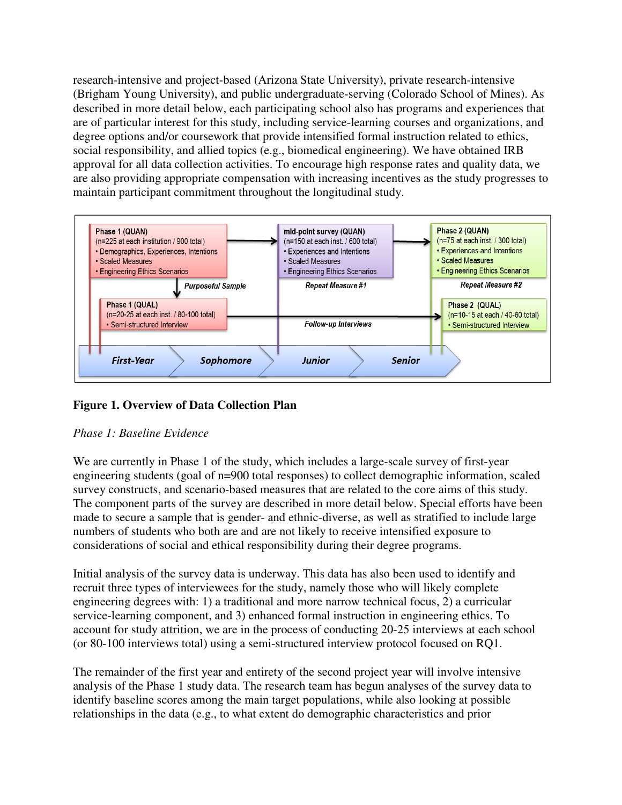research-intensive and project-based (Arizona State University), private research-intensive (Brigham Young University), and public undergraduate-serving (Colorado School of Mines). As described in more detail below, each participating school also has programs and experiences that are of particular interest for this study, including service-learning courses and organizations, and degree options and/or coursework that provide intensified formal instruction related to ethics, social responsibility, and allied topics (e.g., biomedical engineering). We have obtained IRB approval for all data collection activities. To encourage high response rates and quality data, we are also providing appropriate compensation with increasing incentives as the study progresses to maintain participant commitment throughout the longitudinal study.



# **Figure 1. Overview of Data Collection Plan**

## *Phase 1: Baseline Evidence*

We are currently in Phase 1 of the study, which includes a large-scale survey of first-year engineering students (goal of n=900 total responses) to collect demographic information, scaled survey constructs, and scenario-based measures that are related to the core aims of this study. The component parts of the survey are described in more detail below. Special efforts have been made to secure a sample that is gender- and ethnic-diverse, as well as stratified to include large numbers of students who both are and are not likely to receive intensified exposure to considerations of social and ethical responsibility during their degree programs.

Initial analysis of the survey data is underway. This data has also been used to identify and recruit three types of interviewees for the study, namely those who will likely complete engineering degrees with: 1) a traditional and more narrow technical focus, 2) a curricular service-learning component, and 3) enhanced formal instruction in engineering ethics. To account for study attrition, we are in the process of conducting 20-25 interviews at each school (or 80-100 interviews total) using a semi-structured interview protocol focused on RQ1.

The remainder of the first year and entirety of the second project year will involve intensive analysis of the Phase 1 study data. The research team has begun analyses of the survey data to identify baseline scores among the main target populations, while also looking at possible relationships in the data (e.g., to what extent do demographic characteristics and prior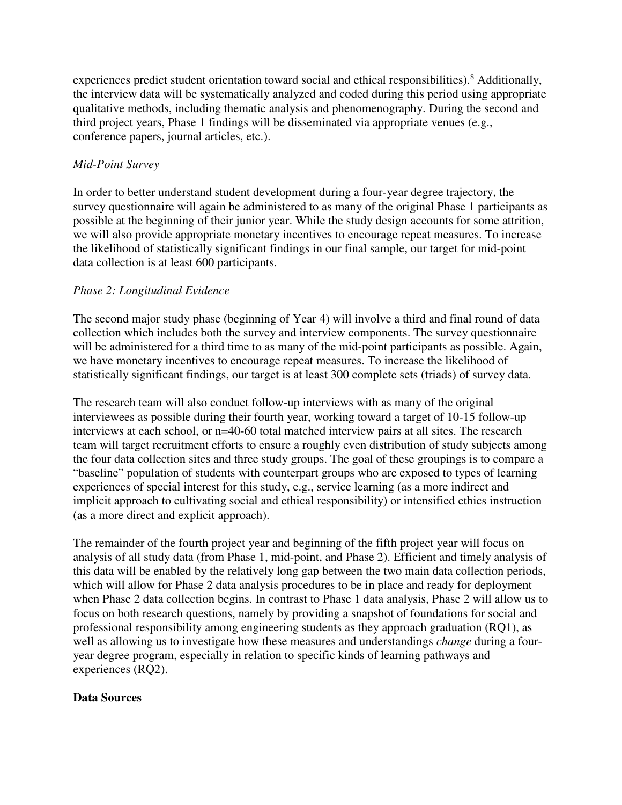experiences predict student orientation toward social and ethical responsibilities).<sup>8</sup> Additionally, the interview data will be systematically analyzed and coded during this period using appropriate qualitative methods, including thematic analysis and phenomenography. During the second and third project years, Phase 1 findings will be disseminated via appropriate venues (e.g., conference papers, journal articles, etc.).

## *Mid-Point Survey*

In order to better understand student development during a four-year degree trajectory, the survey questionnaire will again be administered to as many of the original Phase 1 participants as possible at the beginning of their junior year. While the study design accounts for some attrition, we will also provide appropriate monetary incentives to encourage repeat measures. To increase the likelihood of statistically significant findings in our final sample, our target for mid-point data collection is at least 600 participants.

## *Phase 2: Longitudinal Evidence*

The second major study phase (beginning of Year 4) will involve a third and final round of data collection which includes both the survey and interview components. The survey questionnaire will be administered for a third time to as many of the mid-point participants as possible. Again, we have monetary incentives to encourage repeat measures. To increase the likelihood of statistically significant findings, our target is at least 300 complete sets (triads) of survey data.

The research team will also conduct follow-up interviews with as many of the original interviewees as possible during their fourth year, working toward a target of 10-15 follow-up interviews at each school, or n=40-60 total matched interview pairs at all sites. The research team will target recruitment efforts to ensure a roughly even distribution of study subjects among the four data collection sites and three study groups. The goal of these groupings is to compare a "baseline" population of students with counterpart groups who are exposed to types of learning experiences of special interest for this study, e.g., service learning (as a more indirect and implicit approach to cultivating social and ethical responsibility) or intensified ethics instruction (as a more direct and explicit approach).

The remainder of the fourth project year and beginning of the fifth project year will focus on analysis of all study data (from Phase 1, mid-point, and Phase 2). Efficient and timely analysis of this data will be enabled by the relatively long gap between the two main data collection periods, which will allow for Phase 2 data analysis procedures to be in place and ready for deployment when Phase 2 data collection begins. In contrast to Phase 1 data analysis, Phase 2 will allow us to focus on both research questions, namely by providing a snapshot of foundations for social and professional responsibility among engineering students as they approach graduation (RQ1), as well as allowing us to investigate how these measures and understandings *change* during a fouryear degree program, especially in relation to specific kinds of learning pathways and experiences (RQ2).

## **Data Sources**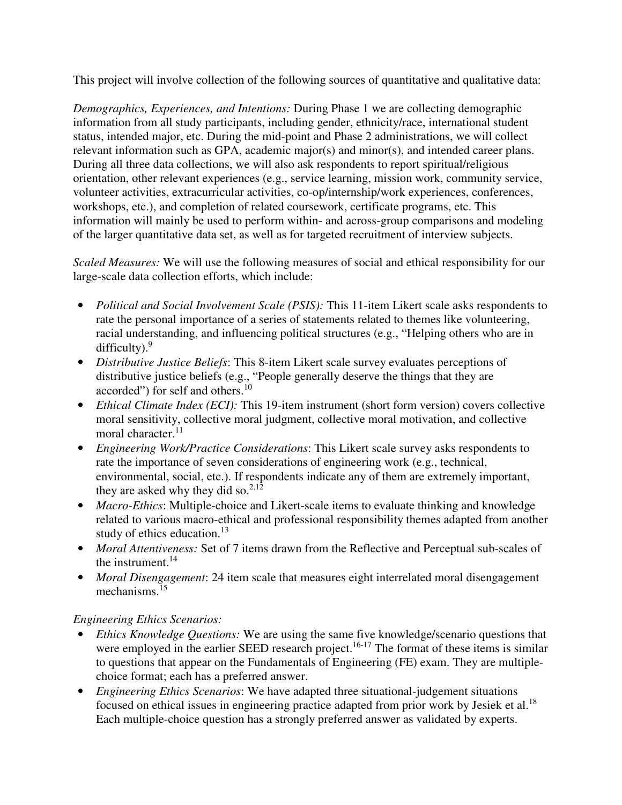This project will involve collection of the following sources of quantitative and qualitative data:

*Demographics, Experiences, and Intentions:* During Phase 1 we are collecting demographic information from all study participants, including gender, ethnicity/race, international student status, intended major, etc. During the mid-point and Phase 2 administrations, we will collect relevant information such as GPA, academic major(s) and minor(s), and intended career plans. During all three data collections, we will also ask respondents to report spiritual/religious orientation, other relevant experiences (e.g., service learning, mission work, community service, volunteer activities, extracurricular activities, co-op/internship/work experiences, conferences, workshops, etc.), and completion of related coursework, certificate programs, etc. This information will mainly be used to perform within- and across-group comparisons and modeling of the larger quantitative data set, as well as for targeted recruitment of interview subjects.

*Scaled Measures:* We will use the following measures of social and ethical responsibility for our large-scale data collection efforts, which include:

- *Political and Social Involvement Scale (PSIS):* This 11-item Likert scale asks respondents to rate the personal importance of a series of statements related to themes like volunteering, racial understanding, and influencing political structures (e.g., "Helping others who are in difficulty).<sup>9</sup>
- *Distributive Justice Beliefs*: This 8-item Likert scale survey evaluates perceptions of distributive justice beliefs (e.g., "People generally deserve the things that they are accorded") for self and others.<sup>10</sup>
- *Ethical Climate Index (ECI):* This 19-item instrument (short form version) covers collective moral sensitivity, collective moral judgment, collective moral motivation, and collective moral character.<sup>11</sup>
- *Engineering Work/Practice Considerations*: This Likert scale survey asks respondents to rate the importance of seven considerations of engineering work (e.g., technical, environmental, social, etc.). If respondents indicate any of them are extremely important, they are asked why they did so. $2,12$
- *Macro-Ethics*: Multiple-choice and Likert-scale items to evaluate thinking and knowledge related to various macro-ethical and professional responsibility themes adapted from another study of ethics education.<sup>13</sup>
- *Moral Attentiveness:* Set of 7 items drawn from the Reflective and Perceptual sub-scales of the instrument.<sup>14</sup>
- *Moral Disengagement*: 24 item scale that measures eight interrelated moral disengagement mechanisms.<sup>15</sup>

## *Engineering Ethics Scenarios:*

- *Ethics Knowledge Questions:* We are using the same five knowledge/scenario questions that were employed in the earlier SEED research project.<sup>16-17</sup> The format of these items is similar to questions that appear on the Fundamentals of Engineering (FE) exam. They are multiplechoice format; each has a preferred answer.
- *Engineering Ethics Scenarios*: We have adapted three situational-judgement situations focused on ethical issues in engineering practice adapted from prior work by Jesiek et al.<sup>18</sup> Each multiple-choice question has a strongly preferred answer as validated by experts.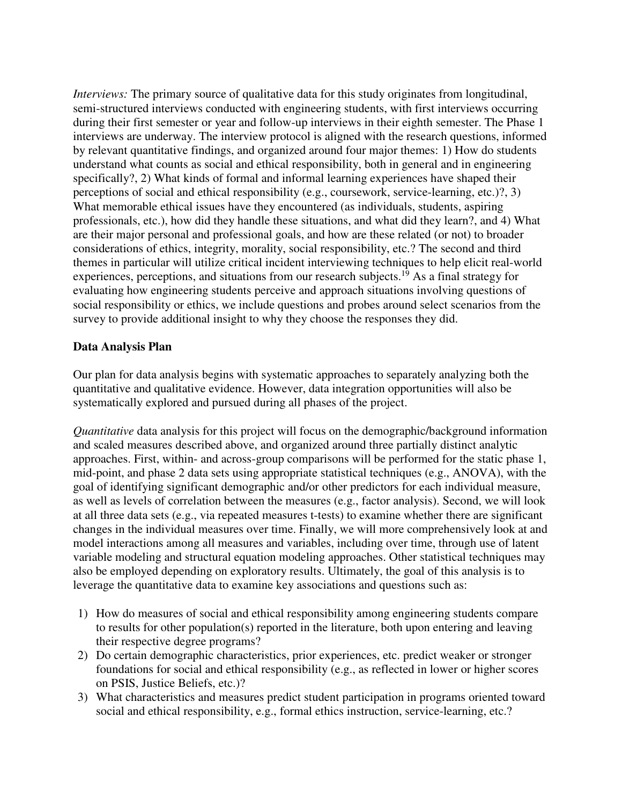*Interviews:* The primary source of qualitative data for this study originates from longitudinal, semi-structured interviews conducted with engineering students, with first interviews occurring during their first semester or year and follow-up interviews in their eighth semester. The Phase 1 interviews are underway. The interview protocol is aligned with the research questions, informed by relevant quantitative findings, and organized around four major themes: 1) How do students understand what counts as social and ethical responsibility, both in general and in engineering specifically?, 2) What kinds of formal and informal learning experiences have shaped their perceptions of social and ethical responsibility (e.g., coursework, service-learning, etc.)?, 3) What memorable ethical issues have they encountered (as individuals, students, aspiring professionals, etc.), how did they handle these situations, and what did they learn?, and 4) What are their major personal and professional goals, and how are these related (or not) to broader considerations of ethics, integrity, morality, social responsibility, etc.? The second and third themes in particular will utilize critical incident interviewing techniques to help elicit real-world experiences, perceptions, and situations from our research subjects.<sup>19</sup> As a final strategy for evaluating how engineering students perceive and approach situations involving questions of social responsibility or ethics, we include questions and probes around select scenarios from the survey to provide additional insight to why they choose the responses they did.

#### **Data Analysis Plan**

Our plan for data analysis begins with systematic approaches to separately analyzing both the quantitative and qualitative evidence. However, data integration opportunities will also be systematically explored and pursued during all phases of the project.

*Quantitative* data analysis for this project will focus on the demographic/background information and scaled measures described above, and organized around three partially distinct analytic approaches. First, within- and across-group comparisons will be performed for the static phase 1, mid-point, and phase 2 data sets using appropriate statistical techniques (e.g., ANOVA), with the goal of identifying significant demographic and/or other predictors for each individual measure, as well as levels of correlation between the measures (e.g., factor analysis). Second, we will look at all three data sets (e.g., via repeated measures t-tests) to examine whether there are significant changes in the individual measures over time. Finally, we will more comprehensively look at and model interactions among all measures and variables, including over time, through use of latent variable modeling and structural equation modeling approaches. Other statistical techniques may also be employed depending on exploratory results. Ultimately, the goal of this analysis is to leverage the quantitative data to examine key associations and questions such as:

- 1) How do measures of social and ethical responsibility among engineering students compare to results for other population(s) reported in the literature, both upon entering and leaving their respective degree programs?
- 2) Do certain demographic characteristics, prior experiences, etc. predict weaker or stronger foundations for social and ethical responsibility (e.g., as reflected in lower or higher scores on PSIS, Justice Beliefs, etc.)?
- 3) What characteristics and measures predict student participation in programs oriented toward social and ethical responsibility, e.g., formal ethics instruction, service-learning, etc.?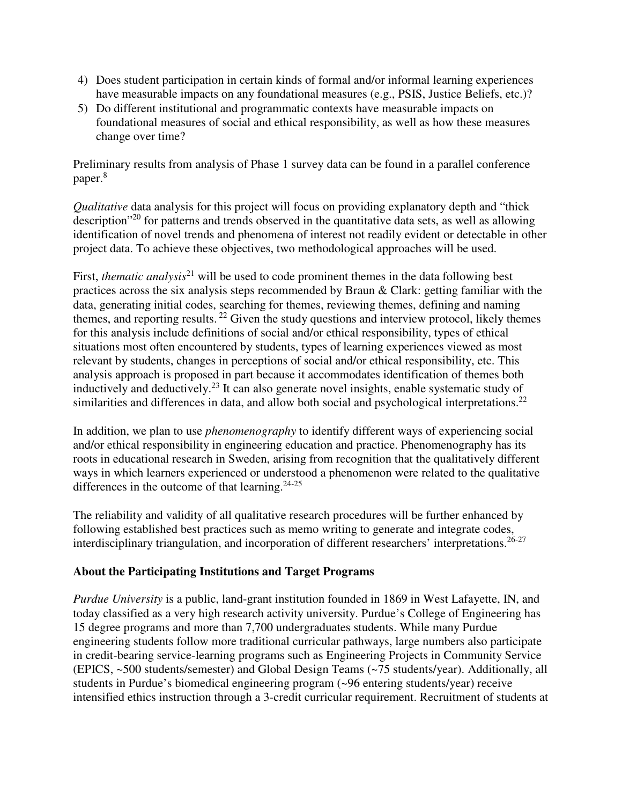- 4) Does student participation in certain kinds of formal and/or informal learning experiences have measurable impacts on any foundational measures (e.g., PSIS, Justice Beliefs, etc.)?
- 5) Do different institutional and programmatic contexts have measurable impacts on foundational measures of social and ethical responsibility, as well as how these measures change over time?

Preliminary results from analysis of Phase 1 survey data can be found in a parallel conference paper.<sup>8</sup>

*Qualitative* data analysis for this project will focus on providing explanatory depth and "thick description"<sup>20</sup> for patterns and trends observed in the quantitative data sets, as well as allowing identification of novel trends and phenomena of interest not readily evident or detectable in other project data. To achieve these objectives, two methodological approaches will be used.

First, *thematic analysis*<sup>21</sup> will be used to code prominent themes in the data following best practices across the six analysis steps recommended by Braun & Clark: getting familiar with the data, generating initial codes, searching for themes, reviewing themes, defining and naming themes, and reporting results.<sup>22</sup> Given the study questions and interview protocol, likely themes for this analysis include definitions of social and/or ethical responsibility, types of ethical situations most often encountered by students, types of learning experiences viewed as most relevant by students, changes in perceptions of social and/or ethical responsibility, etc. This analysis approach is proposed in part because it accommodates identification of themes both inductively and deductively.<sup>23</sup> It can also generate novel insights, enable systematic study of similarities and differences in data, and allow both social and psychological interpretations.<sup>22</sup>

In addition, we plan to use *phenomenography* to identify different ways of experiencing social and/or ethical responsibility in engineering education and practice. Phenomenography has its roots in educational research in Sweden, arising from recognition that the qualitatively different ways in which learners experienced or understood a phenomenon were related to the qualitative differences in the outcome of that learning. $24-25$ 

The reliability and validity of all qualitative research procedures will be further enhanced by following established best practices such as memo writing to generate and integrate codes, interdisciplinary triangulation, and incorporation of different researchers' interpretations.<sup>26-27</sup>

# **About the Participating Institutions and Target Programs**

*Purdue University* is a public, land-grant institution founded in 1869 in West Lafayette, IN, and today classified as a very high research activity university. Purdue's College of Engineering has 15 degree programs and more than 7,700 undergraduates students. While many Purdue engineering students follow more traditional curricular pathways, large numbers also participate in credit-bearing service-learning programs such as Engineering Projects in Community Service (EPICS, ~500 students/semester) and Global Design Teams (~75 students/year). Additionally, all students in Purdue's biomedical engineering program (~96 entering students/year) receive intensified ethics instruction through a 3-credit curricular requirement. Recruitment of students at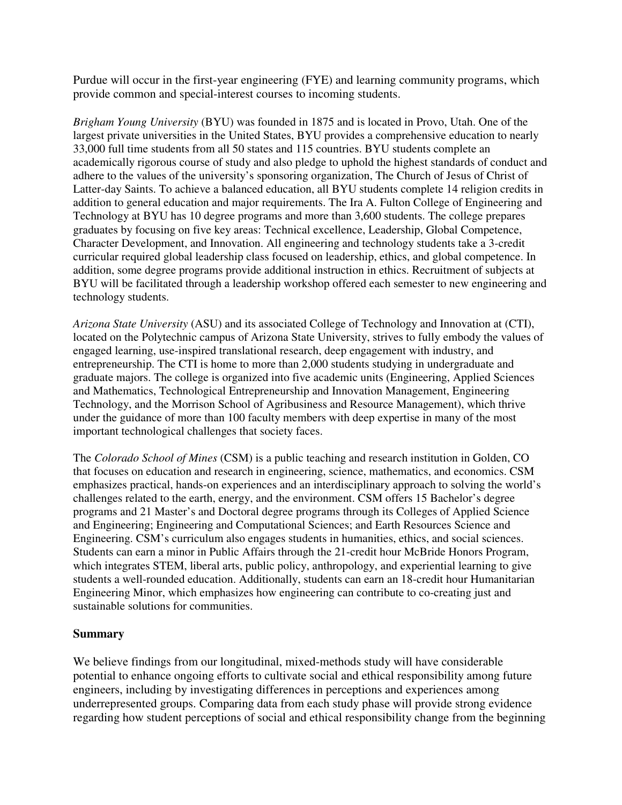Purdue will occur in the first-year engineering (FYE) and learning community programs, which provide common and special-interest courses to incoming students.

*Brigham Young University* (BYU) was founded in 1875 and is located in Provo, Utah. One of the largest private universities in the United States, BYU provides a comprehensive education to nearly 33,000 full time students from all 50 states and 115 countries. BYU students complete an academically rigorous course of study and also pledge to uphold the highest standards of conduct and adhere to the values of the university's sponsoring organization, The Church of Jesus of Christ of Latter-day Saints. To achieve a balanced education, all BYU students complete 14 religion credits in addition to general education and major requirements. The Ira A. Fulton College of Engineering and Technology at BYU has 10 degree programs and more than 3,600 students. The college prepares graduates by focusing on five key areas: Technical excellence, Leadership, Global Competence, Character Development, and Innovation. All engineering and technology students take a 3-credit curricular required global leadership class focused on leadership, ethics, and global competence. In addition, some degree programs provide additional instruction in ethics. Recruitment of subjects at BYU will be facilitated through a leadership workshop offered each semester to new engineering and technology students.

*Arizona State University* (ASU) and its associated College of Technology and Innovation at (CTI), located on the Polytechnic campus of Arizona State University, strives to fully embody the values of engaged learning, use-inspired translational research, deep engagement with industry, and entrepreneurship. The CTI is home to more than 2,000 students studying in undergraduate and graduate majors. The college is organized into five academic units (Engineering, Applied Sciences and Mathematics, Technological Entrepreneurship and Innovation Management, Engineering Technology, and the Morrison School of Agribusiness and Resource Management), which thrive under the guidance of more than 100 faculty members with deep expertise in many of the most important technological challenges that society faces.

The *Colorado School of Mines* (CSM) is a public teaching and research institution in Golden, CO that focuses on education and research in engineering, science, mathematics, and economics. CSM emphasizes practical, hands-on experiences and an interdisciplinary approach to solving the world's challenges related to the earth, energy, and the environment. CSM offers 15 Bachelor's degree programs and 21 Master's and Doctoral degree programs through its Colleges of Applied Science and Engineering; Engineering and Computational Sciences; and Earth Resources Science and Engineering. CSM's curriculum also engages students in humanities, ethics, and social sciences. Students can earn a minor in Public Affairs through the 21-credit hour McBride Honors Program, which integrates STEM, liberal arts, public policy, anthropology, and experiential learning to give students a well-rounded education. Additionally, students can earn an 18-credit hour Humanitarian Engineering Minor, which emphasizes how engineering can contribute to co-creating just and sustainable solutions for communities.

## **Summary**

We believe findings from our longitudinal, mixed-methods study will have considerable potential to enhance ongoing efforts to cultivate social and ethical responsibility among future engineers, including by investigating differences in perceptions and experiences among underrepresented groups. Comparing data from each study phase will provide strong evidence regarding how student perceptions of social and ethical responsibility change from the beginning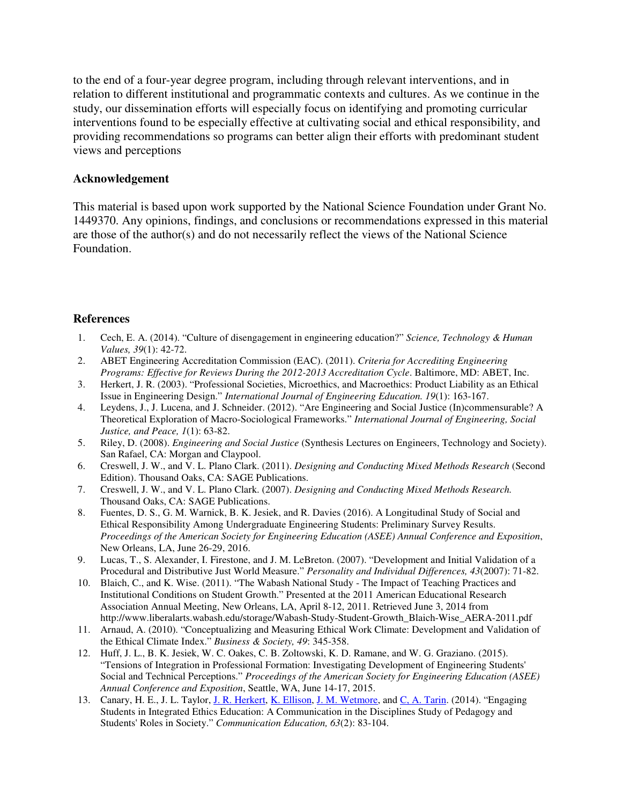to the end of a four-year degree program, including through relevant interventions, and in relation to different institutional and programmatic contexts and cultures. As we continue in the study, our dissemination efforts will especially focus on identifying and promoting curricular interventions found to be especially effective at cultivating social and ethical responsibility, and providing recommendations so programs can better align their efforts with predominant student views and perceptions

#### **Acknowledgement**

This material is based upon work supported by the National Science Foundation under Grant No. 1449370. Any opinions, findings, and conclusions or recommendations expressed in this material are those of the author(s) and do not necessarily reflect the views of the National Science Foundation.

#### **References**

- 1. Cech, E. A. (2014). "Culture of disengagement in engineering education?" *Science, Technology & Human Values, 39*(1): 42-72.
- 2. ABET Engineering Accreditation Commission (EAC). (2011). *Criteria for Accrediting Engineering Programs: Effective for Reviews During the 2012-2013 Accreditation Cycle*. Baltimore, MD: ABET, Inc.
- 3. Herkert, J. R. (2003). "Professional Societies, Microethics, and Macroethics: Product Liability as an Ethical Issue in Engineering Design." *International Journal of Engineering Education. 19*(1): 163-167.
- 4. Leydens, J., J. Lucena, and J. Schneider. (2012). "Are Engineering and Social Justice (In)commensurable? A Theoretical Exploration of Macro-Sociological Frameworks." *International Journal of Engineering, Social Justice, and Peace, 1*(1): 63-82.
- 5. Riley, D. (2008). *Engineering and Social Justice* (Synthesis Lectures on Engineers, Technology and Society). San Rafael, CA: Morgan and Claypool.
- 6. Creswell, J. W., and V. L. Plano Clark. (2011). *Designing and Conducting Mixed Methods Research* (Second Edition). Thousand Oaks, CA: SAGE Publications.
- 7. Creswell, J. W., and V. L. Plano Clark. (2007). *Designing and Conducting Mixed Methods Research.*  Thousand Oaks, CA: SAGE Publications.
- 8. Fuentes, D. S., G. M. Warnick, B. K. Jesiek, and R. Davies (2016). A Longitudinal Study of Social and Ethical Responsibility Among Undergraduate Engineering Students: Preliminary Survey Results. *Proceedings of the American Society for Engineering Education (ASEE) Annual Conference and Exposition*, New Orleans, LA, June 26-29, 2016.
- 9. Lucas, T., S. Alexander, I. Firestone, and J. M. LeBreton. (2007). "Development and Initial Validation of a Procedural and Distributive Just World Measure." *Personality and Individual Differences, 43*(2007): 71-82.
- 10. Blaich, C., and K. Wise. (2011). "The Wabash National Study The Impact of Teaching Practices and Institutional Conditions on Student Growth." Presented at the 2011 American Educational Research Association Annual Meeting, New Orleans, LA, April 8-12, 2011. Retrieved June 3, 2014 from http://www.liberalarts.wabash.edu/storage/Wabash-Study-Student-Growth\_Blaich-Wise\_AERA-2011.pdf
- 11. Arnaud, A. (2010). "Conceptualizing and Measuring Ethical Work Climate: Development and Validation of the Ethical Climate Index." *Business & Society, 49*: 345-358.
- 12. Huff, J. L., B. K. Jesiek, W. C. Oakes, C. B. Zoltowski, K. D. Ramane, and W. G. Graziano. (2015). "Tensions of Integration in Professional Formation: Investigating Development of Engineering Students' Social and Technical Perceptions." *Proceedings of the American Society for Engineering Education (ASEE) Annual Conference and Exposition*, Seattle, WA, June 14-17, 2015.
- 13. Canary, H. E., J. L. Taylor, J. R. Herkert, K. Ellison, J. M. Wetmore, and C. A. Tarin. (2014). "Engaging Students in Integrated Ethics Education: A Communication in the Disciplines Study of Pedagogy and Students' Roles in Society." *Communication Education, 63*(2): 83-104.